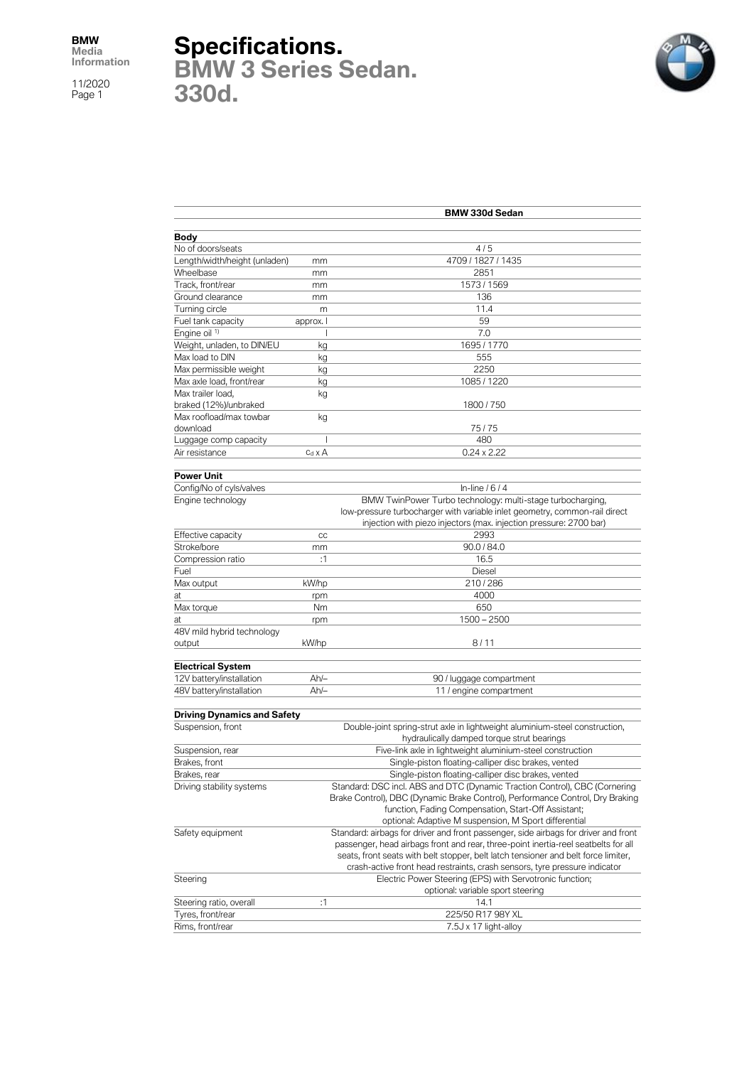## **Specifications.**

**BMW 3 Series Sedan. 330d.**



|                                    | <b>BMW 330d Sedan</b> |                                                                                     |  |
|------------------------------------|-----------------------|-------------------------------------------------------------------------------------|--|
|                                    |                       |                                                                                     |  |
| <b>Body</b>                        |                       |                                                                                     |  |
| No of doors/seats                  |                       | 4/5                                                                                 |  |
| Length/width/height (unladen)      | mm                    | 4709 / 1827 / 1435                                                                  |  |
| Wheelbase                          | mm                    | 2851                                                                                |  |
| Track, front/rear                  | mm                    | 1573 / 1569                                                                         |  |
| Ground clearance                   | mm                    | 136                                                                                 |  |
| Turning circle                     | m                     | 11.4                                                                                |  |
| Fuel tank capacity                 | approx. I             | 59                                                                                  |  |
| Engine oil <sup>1)</sup>           | J                     | 7.0                                                                                 |  |
| Weight, unladen, to DIN/EU         | kg                    | 1695 / 1770                                                                         |  |
| Max load to DIN                    | kg                    | 555                                                                                 |  |
| Max permissible weight             | kg                    | 2250                                                                                |  |
| Max axle load, front/rear          | kg                    | 1085 / 1220                                                                         |  |
| Max trailer load,                  | kg                    |                                                                                     |  |
| braked (12%)/unbraked              |                       | 1800 / 750                                                                          |  |
| Max roofload/max towbar            | kg                    |                                                                                     |  |
| download                           |                       | 75/75                                                                               |  |
| Luggage comp capacity              | T                     | 480                                                                                 |  |
| Air resistance                     | $c_d \times A$        | $0.24 \times 2.22$                                                                  |  |
| <b>Power Unit</b>                  |                       |                                                                                     |  |
| Config/No of cyls/valves           |                       | In-line $/6/4$                                                                      |  |
| Engine technology                  |                       | BMW TwinPower Turbo technology: multi-stage turbocharging,                          |  |
|                                    |                       | low-pressure turbocharger with variable inlet geometry, common-rail direct          |  |
|                                    |                       | injection with piezo injectors (max. injection pressure: 2700 bar)                  |  |
| Effective capacity                 | cc                    | 2993                                                                                |  |
| Stroke/bore                        | mm                    | 90.0 / 84.0                                                                         |  |
| Compression ratio                  | :1                    | 16.5                                                                                |  |
| Fuel                               |                       | Diesel                                                                              |  |
| Max output                         | kW/hp                 | 210/286                                                                             |  |
| at                                 | rpm                   | 4000                                                                                |  |
| Max torque                         | Nm                    | 650                                                                                 |  |
| at                                 | rpm                   | $1500 - 2500$                                                                       |  |
| 48V mild hybrid technology         |                       |                                                                                     |  |
| output                             | kW/hp                 | 8/11                                                                                |  |
|                                    |                       |                                                                                     |  |
| <b>Electrical System</b>           |                       |                                                                                     |  |
| 12V battery/installation           | $Ah/-$                | 90 / luggage compartment                                                            |  |
| 48V battery/installation           | $Ah/-$                | 11 / engine compartment                                                             |  |
|                                    |                       |                                                                                     |  |
| <b>Driving Dynamics and Safety</b> |                       |                                                                                     |  |
| Suspension, front                  |                       | Double-joint spring-strut axle in lightweight aluminium-steel construction,         |  |
|                                    |                       | hydraulically damped torque strut bearings                                          |  |
| Suspension, rear                   |                       | Five-link axle in lightweight aluminium-steel construction                          |  |
| Brakes, front                      |                       | Single-piston floating-calliper disc brakes, vented                                 |  |
| Brakes, rear                       |                       | Single-piston floating-calliper disc brakes, vented                                 |  |
| Driving stability systems          |                       | Standard: DSC incl. ABS and DTC (Dynamic Traction Control), CBC (Cornering          |  |
|                                    |                       | Brake Control), DBC (Dynamic Brake Control), Performance Control, Dry Braking       |  |
|                                    |                       | function, Fading Compensation, Start-Off Assistant;                                 |  |
|                                    |                       | optional: Adaptive M suspension, M Sport differential                               |  |
| Safety equipment                   |                       | Standard: airbags for driver and front passenger, side airbags for driver and front |  |
|                                    |                       | passenger, head airbags front and rear, three-point inertia-reel seatbelts for all  |  |
|                                    |                       | seats, front seats with belt stopper, belt latch tensioner and belt force limiter,  |  |
|                                    |                       | crash-active front head restraints, crash sensors, tyre pressure indicator          |  |
| Steering                           |                       | Electric Power Steering (EPS) with Servotronic function;                            |  |
|                                    |                       | optional: variable sport steering                                                   |  |
| Steering ratio, overall            | :1                    | 14.1                                                                                |  |
| Tyres, front/rear                  |                       | 225/50 R17 98Y XL                                                                   |  |
| Rims, front/rear                   |                       | 7.5J x 17 light-alloy                                                               |  |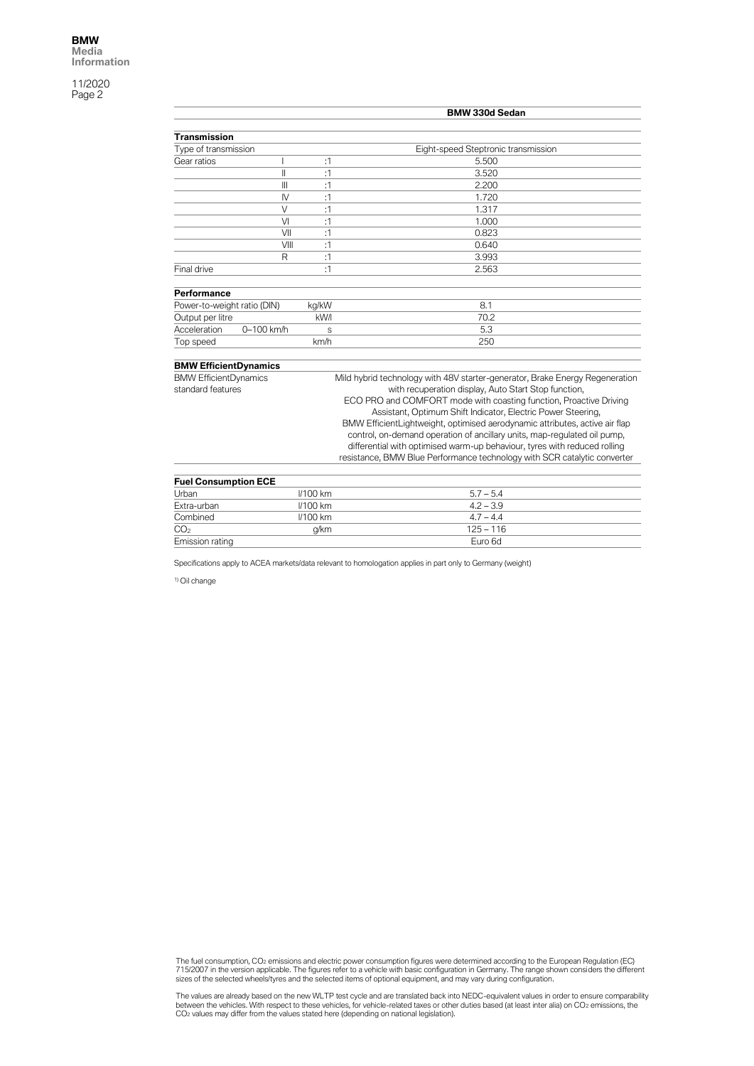|                              |                 | <b>BMW 330d Sedan</b> |                                                                              |  |
|------------------------------|-----------------|-----------------------|------------------------------------------------------------------------------|--|
|                              |                 |                       |                                                                              |  |
| <b>Transmission</b>          |                 |                       |                                                                              |  |
| Type of transmission         |                 |                       | Eight-speed Steptronic transmission                                          |  |
| Gear ratios                  |                 | :1                    | 5.500                                                                        |  |
|                              | $\mathsf{I}$    | :1                    | 3.520                                                                        |  |
|                              | $\mathbf{III}$  | :1                    | 2.200                                                                        |  |
|                              | $\mathsf{N}$    | :1                    | 1.720                                                                        |  |
|                              | $\vee$          | :1                    | 1.317                                                                        |  |
|                              | VI              | :1                    | 1.000                                                                        |  |
|                              | VII             | :1                    | 0.823                                                                        |  |
|                              | VIII            | :1                    | 0.640                                                                        |  |
|                              | R               | :1                    | 3.993                                                                        |  |
| Final drive                  |                 | :1                    | 2.563                                                                        |  |
| Performance                  |                 |                       |                                                                              |  |
| Power-to-weight ratio (DIN)  |                 | kg/kW                 | 8.1                                                                          |  |
| Output per litre             |                 | kW/l                  | 70.2                                                                         |  |
| Acceleration                 | 0-100 km/h<br>S |                       | 5.3                                                                          |  |
| Top speed                    |                 | km/h                  | 250                                                                          |  |
|                              |                 |                       |                                                                              |  |
| <b>BMW EfficientDynamics</b> |                 |                       |                                                                              |  |
| <b>BMW EfficientDynamics</b> |                 |                       | Mild hybrid technology with 48V starter-generator, Brake Energy Regeneration |  |
| standard features            |                 |                       | with recuperation display, Auto Start Stop function,                         |  |
|                              |                 |                       | ECO PRO and COMFORT mode with coasting function, Proactive Driving           |  |
|                              |                 |                       | Assistant, Optimum Shift Indicator, Electric Power Steering,                 |  |
|                              |                 |                       | BMW EfficientLightweight, optimised aerodynamic attributes, active air flap  |  |
|                              |                 |                       | control, on-demand operation of ancillary units, map-regulated oil pump,     |  |
|                              |                 |                       | differential with optimised warm-up behaviour, tyres with reduced rolling    |  |
|                              |                 |                       | resistance, BMW Blue Performance technology with SCR catalytic converter     |  |
|                              |                 |                       |                                                                              |  |
| <b>Fuel Consumption ECE</b>  |                 |                       |                                                                              |  |
| Urban                        |                 | <b>//100 km</b>       | $5.7 - 5.4$                                                                  |  |
| Extra-urban                  |                 | <b>//100 km</b>       | $4.2 - 3.9$                                                                  |  |
| Combined                     |                 | <b>//100 km</b>       | $4.7 - 4.4$                                                                  |  |
| CO <sub>2</sub>              |                 | g/km                  | $125 - 116$                                                                  |  |

Specifications apply to ACEA markets/data relevant to homologation applies in part only to Germany (weight)

Emission rating Euro 6d

1) Oil change

The fuel consumption, CO2 emissions and electric power consumption figures were determined according to the European Regulation (EC)<br>715/2007 in the version applicable. The figures refer to a vehicle with basic configurati

The values are already based on the new WLTP test cycle and are translated back into NEDC-equivalent values in order to ensure comparability<br>between the vehicles. With respect to these vehicles, for vehicle-related taxes o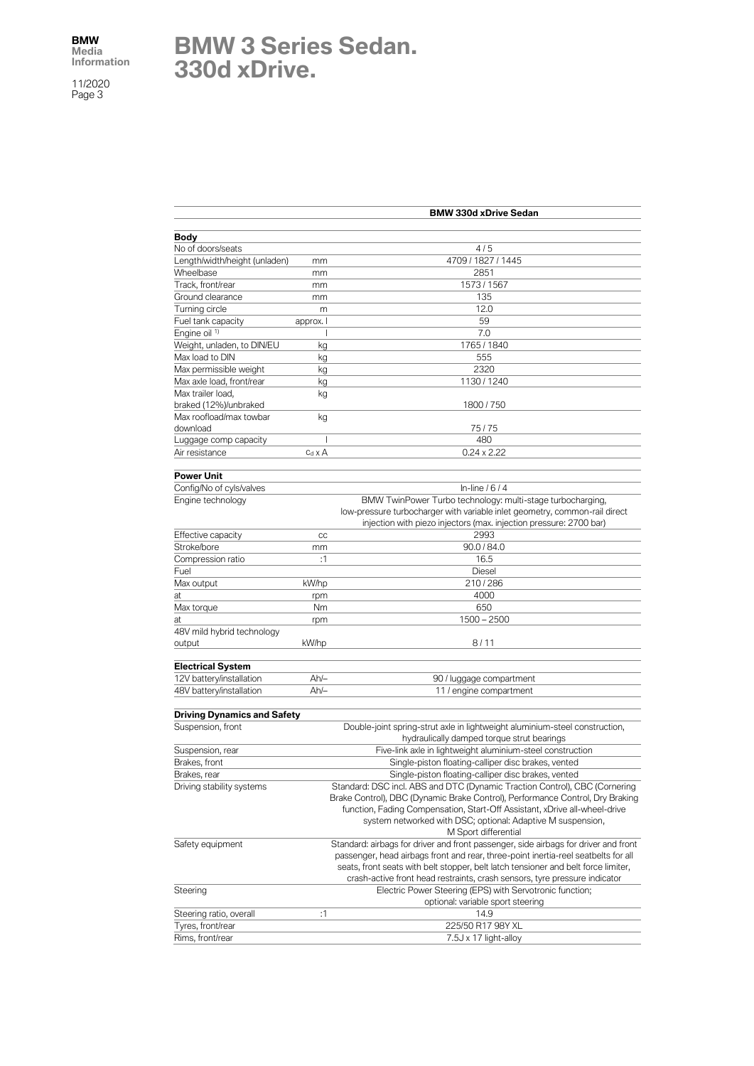## **BMW 3 Series Sedan. 330d xDrive.**

|                                    | <b>BMW 330d xDrive Sedan</b> |                                                                                                                                                                           |  |
|------------------------------------|------------------------------|---------------------------------------------------------------------------------------------------------------------------------------------------------------------------|--|
| <b>Body</b>                        |                              |                                                                                                                                                                           |  |
| No of doors/seats                  |                              | 4/5                                                                                                                                                                       |  |
| Length/width/height (unladen)      | mm                           | 4709 / 1827 / 1445                                                                                                                                                        |  |
| Wheelbase                          | mm                           | 2851                                                                                                                                                                      |  |
| Track, front/rear                  | mm                           | 1573 / 1567                                                                                                                                                               |  |
| Ground clearance                   | mm                           | 135                                                                                                                                                                       |  |
| Turning circle                     | m                            | 12.0                                                                                                                                                                      |  |
| Fuel tank capacity                 | approx. I                    | 59                                                                                                                                                                        |  |
| Engine oil 1)                      |                              | 7.0                                                                                                                                                                       |  |
| Weight, unladen, to DIN/EU         | kg                           | 1765 / 1840                                                                                                                                                               |  |
| Max load to DIN                    | kg                           | 555                                                                                                                                                                       |  |
| Max permissible weight             | kg                           | 2320                                                                                                                                                                      |  |
| Max axle load, front/rear          | kg                           | 1130 / 1240                                                                                                                                                               |  |
| Max trailer load.                  | kg                           |                                                                                                                                                                           |  |
| braked (12%)/unbraked              |                              | 1800 / 750                                                                                                                                                                |  |
| Max roofload/max towbar            | kg                           |                                                                                                                                                                           |  |
| download                           |                              | 75/75                                                                                                                                                                     |  |
| Luggage comp capacity              | I                            | 480                                                                                                                                                                       |  |
| Air resistance                     | $c_d \times A$               | $0.24 \times 2.22$                                                                                                                                                        |  |
| <b>Power Unit</b>                  |                              |                                                                                                                                                                           |  |
| Config/No of cyls/valves           |                              | In-line $/6/4$                                                                                                                                                            |  |
| Engine technology                  |                              | BMW TwinPower Turbo technology: multi-stage turbocharging,                                                                                                                |  |
|                                    |                              | low-pressure turbocharger with variable inlet geometry, common-rail direct                                                                                                |  |
|                                    |                              | injection with piezo injectors (max. injection pressure: 2700 bar)                                                                                                        |  |
| Effective capacity                 | cc                           | 2993                                                                                                                                                                      |  |
| Stroke/bore                        | mm                           | 90.0 / 84.0                                                                                                                                                               |  |
| Compression ratio                  | :1                           | 16.5                                                                                                                                                                      |  |
| Fuel                               |                              | <b>Diesel</b>                                                                                                                                                             |  |
| Max output                         | kW/hp                        | 210/286                                                                                                                                                                   |  |
| at                                 | rpm                          | 4000                                                                                                                                                                      |  |
| Max torque                         | Nm                           | 650                                                                                                                                                                       |  |
| at                                 | rpm                          | $1500 - 2500$                                                                                                                                                             |  |
| 48V mild hybrid technology         |                              |                                                                                                                                                                           |  |
| output                             | kW/hp                        | 8/11                                                                                                                                                                      |  |
| <b>Electrical System</b>           |                              |                                                                                                                                                                           |  |
| 12V battery/installation           | $Ah/-$                       | 90 / luggage compartment                                                                                                                                                  |  |
| 48V battery/installation           | $Ah/-$                       | 11 / engine compartment                                                                                                                                                   |  |
| <b>Driving Dynamics and Safety</b> |                              |                                                                                                                                                                           |  |
| Suspension, front                  |                              | Double-joint spring-strut axle in lightweight aluminium-steel construction,                                                                                               |  |
|                                    |                              | hydraulically damped torque strut bearings                                                                                                                                |  |
| Suspension, rear                   |                              | Five-link axle in lightweight aluminium-steel construction                                                                                                                |  |
| Brakes, front                      |                              | Single-piston floating-calliper disc brakes, vented                                                                                                                       |  |
| Brakes, rear                       |                              | Single-piston floating-calliper disc brakes, vented                                                                                                                       |  |
| Driving stability systems          |                              | Standard: DSC incl. ABS and DTC (Dynamic Traction Control), CBC (Cornering                                                                                                |  |
|                                    |                              | Brake Control), DBC (Dynamic Brake Control), Performance Control, Dry Braking                                                                                             |  |
|                                    |                              | function, Fading Compensation, Start-Off Assistant, xDrive all-wheel-drive                                                                                                |  |
|                                    |                              | system networked with DSC; optional: Adaptive M suspension,                                                                                                               |  |
|                                    |                              | M Sport differential                                                                                                                                                      |  |
| Safety equipment                   |                              | Standard: airbags for driver and front passenger, side airbags for driver and front<br>passenger, head airbags front and rear, three-point inertia-reel seatbelts for all |  |
|                                    |                              | seats, front seats with belt stopper, belt latch tensioner and belt force limiter,                                                                                        |  |
|                                    |                              | crash-active front head restraints, crash sensors, tyre pressure indicator                                                                                                |  |
| Steering                           |                              | Electric Power Steering (EPS) with Servotronic function;                                                                                                                  |  |
|                                    |                              | optional: variable sport steering                                                                                                                                         |  |
| Steering ratio, overall            | :1                           | 14.9                                                                                                                                                                      |  |
| Tyres, front/rear                  |                              | 225/50 R17 98Y XL                                                                                                                                                         |  |
| Rims, front/rear                   |                              | 7.5J x 17 light-alloy                                                                                                                                                     |  |